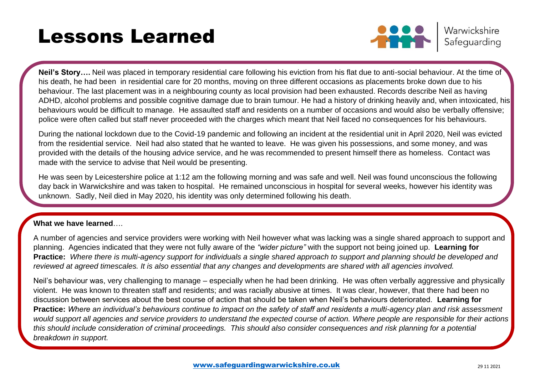# Lessons Learned



Warwickshire Safeguarding

**Neil's Story….** Neil was placed in temporary residential care following his eviction from his flat due to anti-social behaviour. At the time of his death, he had been in residential care for 20 months, moving on three different occasions as placements broke down due to his behaviour. The last placement was in a neighbouring county as local provision had been exhausted. Records describe Neil as having ADHD, alcohol problems and possible cognitive damage due to brain tumour. He had a history of drinking heavily and, when intoxicated, his behaviours would be difficult to manage. He assaulted staff and residents on a number of occasions and would also be verbally offensive; police were often called but staff never proceeded with the charges which meant that Neil faced no consequences for his behaviours.

During the national lockdown due to the Covid-19 pandemic and following an incident at the residential unit in April 2020, Neil was evicted from the residential service. Neil had also stated that he wanted to leave. He was given his possessions, and some money, and was provided with the details of the housing advice service, and he was recommended to present himself there as homeless. Contact was made with the service to advise that Neil would be presenting.

He was seen by Leicestershire police at 1:12 am the following morning and was safe and well. Neil was found unconscious the following day back in Warwickshire and was taken to hospital. He remained unconscious in hospital for several weeks, however his identity was unknown. Sadly, Neil died in May 2020, his identity was only determined following his death.

### **What we have learned**….

A number of agencies and service providers were working with Neil however what was lacking was a single shared approach to support and planning. Agencies indicated that they were not fully aware of the *"wider picture"* with the support not being joined up. **Learning for Practice:** *Where there is multi-agency support for individuals a single shared approach to support and planning should be developed and reviewed at agreed timescales. It is also essential that any changes and developments are shared with all agencies involved.*

Neil's behaviour was, very challenging to manage – especially when he had been drinking. He was often verbally aggressive and physically violent. He was known to threaten staff and residents; and was racially abusive at times. It was clear, however, that there had been no discussion between services about the best course of action that should be taken when Neil's behaviours deteriorated. **Learning for Practice:** *Where an individual's behaviours continue to impact on the safety of staff and residents a multi-agency plan and risk assessment would support all agencies and service providers to understand the expected course of action. Where people are responsible for their actions this should include consideration of criminal proceedings. This should also consider consequences and risk planning for a potential breakdown in support.*